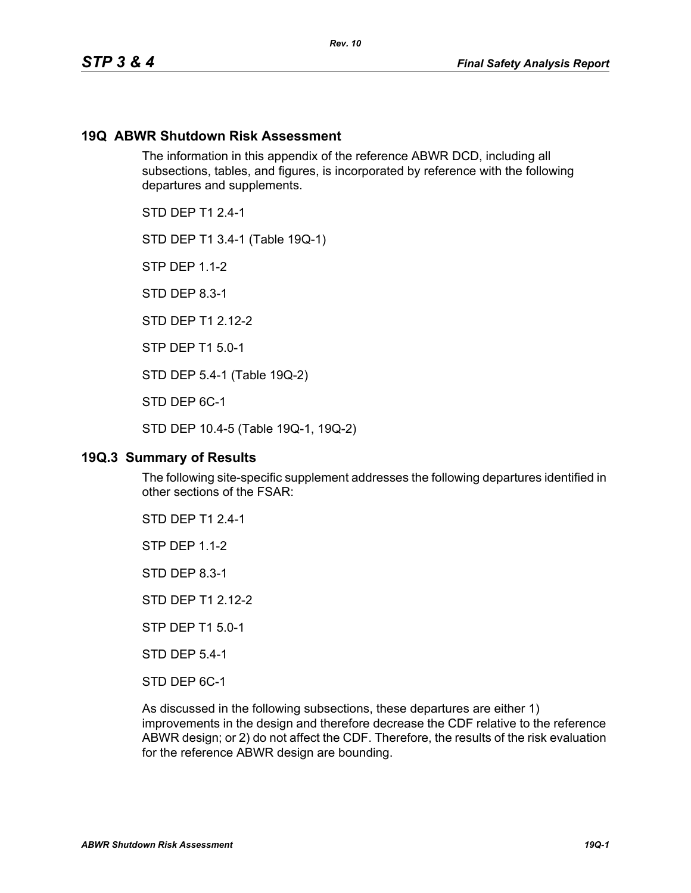#### **19Q ABWR Shutdown Risk Assessment**

The information in this appendix of the reference ABWR DCD, including all subsections, tables, and figures, is incorporated by reference with the following departures and supplements.

*Rev. 10*

STD DFP T1 2 4-1

STD DEP T1 3.4-1 (Table 19Q-1)

STP DEP 1.1-2

STD DEP 8.3-1

STD DFP T1 2 12-2

STP DEP T1 5.0-1

STD DEP 5.4-1 (Table 19Q-2)

STD DEP 6C-1

STD DEP 10.4-5 (Table 19Q-1, 19Q-2)

#### **19Q.3 Summary of Results**

The following site-specific supplement addresses the following departures identified in other sections of the FSAR:

STD DEP T1 2.4-1

STP DEP 1.1-2

STD DEP 8.3-1

STD DEP T1 2.12-2

STP DEP T1 5.0-1

STD DEP 5.4-1

STD DEP 6C-1

As discussed in the following subsections, these departures are either 1) improvements in the design and therefore decrease the CDF relative to the reference ABWR design; or 2) do not affect the CDF. Therefore, the results of the risk evaluation for the reference ABWR design are bounding.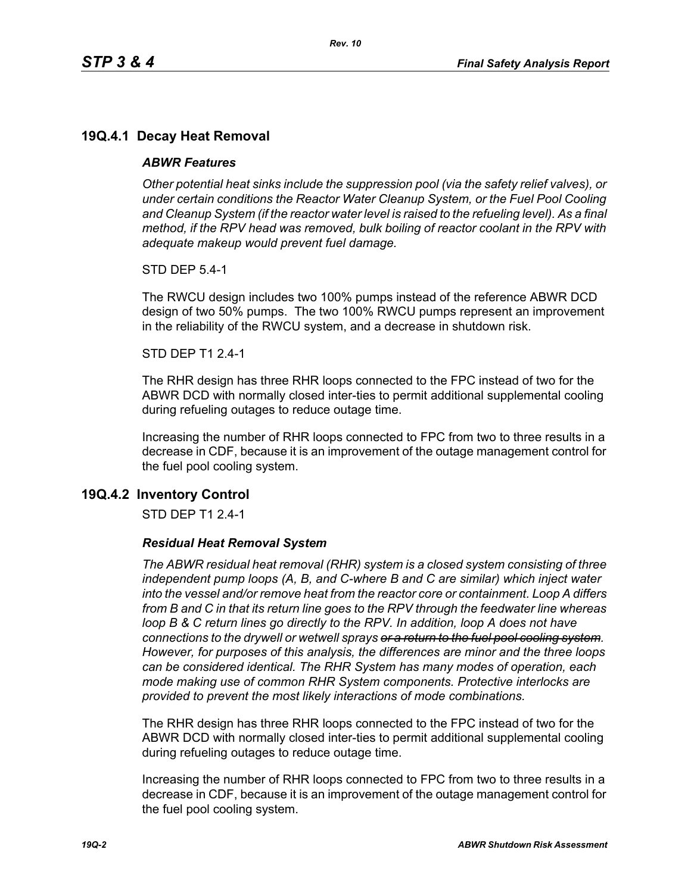# **19Q.4.1 Decay Heat Removal**

#### *ABWR Features*

*Other potential heat sinks include the suppression pool (via the safety relief valves), or under certain conditions the Reactor Water Cleanup System, or the Fuel Pool Cooling*  and Cleanup System (if the reactor water level is raised to the refueling level). As a final *method, if the RPV head was removed, bulk boiling of reactor coolant in the RPV with adequate makeup would prevent fuel damage.*

STD DEP 5.4-1

The RWCU design includes two 100% pumps instead of the reference ABWR DCD design of two 50% pumps. The two 100% RWCU pumps represent an improvement in the reliability of the RWCU system, and a decrease in shutdown risk.

#### STD DEP T1 2.4-1

The RHR design has three RHR loops connected to the FPC instead of two for the ABWR DCD with normally closed inter-ties to permit additional supplemental cooling during refueling outages to reduce outage time.

Increasing the number of RHR loops connected to FPC from two to three results in a decrease in CDF, because it is an improvement of the outage management control for the fuel pool cooling system.

## **19Q.4.2 Inventory Control**

STD DEP T1 2.4-1

#### *Residual Heat Removal System*

*The ABWR residual heat removal (RHR) system is a closed system consisting of three independent pump loops (A, B, and C-where B and C are similar) which inject water into the vessel and/or remove heat from the reactor core or containment. Loop A differs from B and C in that its return line goes to the RPV through the feedwater line whereas loop B & C return lines go directly to the RPV. In addition, loop A does not have connections to the drywell or wetwell sprays or a return to the fuel pool cooling system. However, for purposes of this analysis, the differences are minor and the three loops can be considered identical. The RHR System has many modes of operation, each mode making use of common RHR System components. Protective interlocks are provided to prevent the most likely interactions of mode combinations.*

The RHR design has three RHR loops connected to the FPC instead of two for the ABWR DCD with normally closed inter-ties to permit additional supplemental cooling during refueling outages to reduce outage time.

Increasing the number of RHR loops connected to FPC from two to three results in a decrease in CDF, because it is an improvement of the outage management control for the fuel pool cooling system.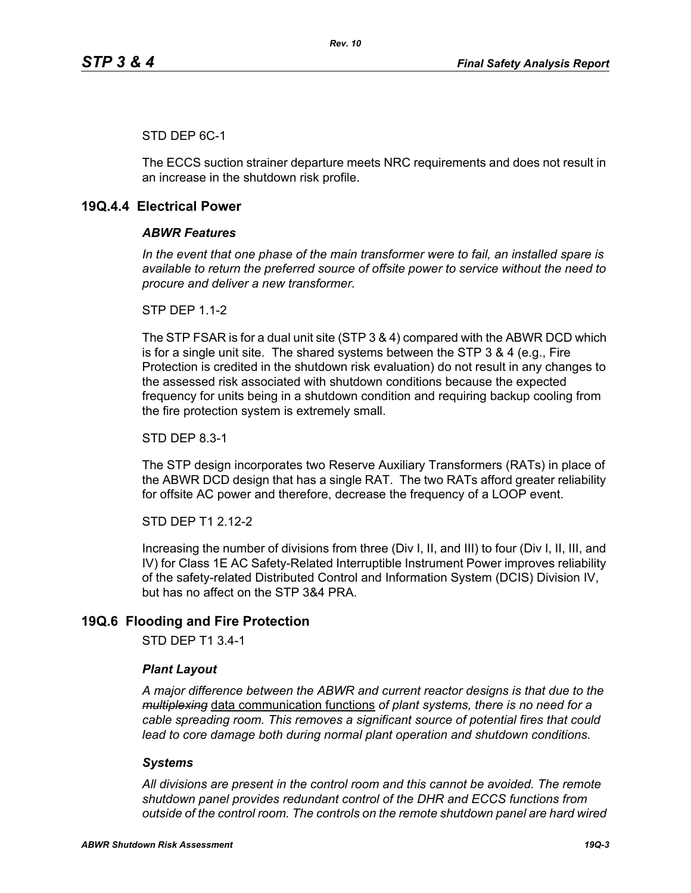## STD DEP 6C-1

The ECCS suction strainer departure meets NRC requirements and does not result in an increase in the shutdown risk profile.

# **19Q.4.4 Electrical Power**

## *ABWR Features*

*In the event that one phase of the main transformer were to fail, an installed spare is available to return the preferred source of offsite power to service without the need to procure and deliver a new transformer.*

**STP DFP 1 1-2** 

The STP FSAR is for a dual unit site (STP 3 & 4) compared with the ABWR DCD which is for a single unit site. The shared systems between the STP 3 & 4 (e.g., Fire Protection is credited in the shutdown risk evaluation) do not result in any changes to the assessed risk associated with shutdown conditions because the expected frequency for units being in a shutdown condition and requiring backup cooling from the fire protection system is extremely small.

STD DEP 8.3-1

The STP design incorporates two Reserve Auxiliary Transformers (RATs) in place of the ABWR DCD design that has a single RAT. The two RATs afford greater reliability for offsite AC power and therefore, decrease the frequency of a LOOP event.

STD DEP T1 2.12-2

Increasing the number of divisions from three (Div I, II, and III) to four (Div I, II, III, and IV) for Class 1E AC Safety-Related Interruptible Instrument Power improves reliability of the safety-related Distributed Control and Information System (DCIS) Division IV, but has no affect on the STP 3&4 PRA.

# **19Q.6 Flooding and Fire Protection**

STD DEP T1 3.4-1

## *Plant Layout*

*A major difference between the ABWR and current reactor designs is that due to the multiplexing* data communication functions *of plant systems, there is no need for a cable spreading room. This removes a significant source of potential fires that could lead to core damage both during normal plant operation and shutdown conditions.*

## *Systems*

*All divisions are present in the control room and this cannot be avoided. The remote shutdown panel provides redundant control of the DHR and ECCS functions from outside of the control room. The controls on the remote shutdown panel are hard wired*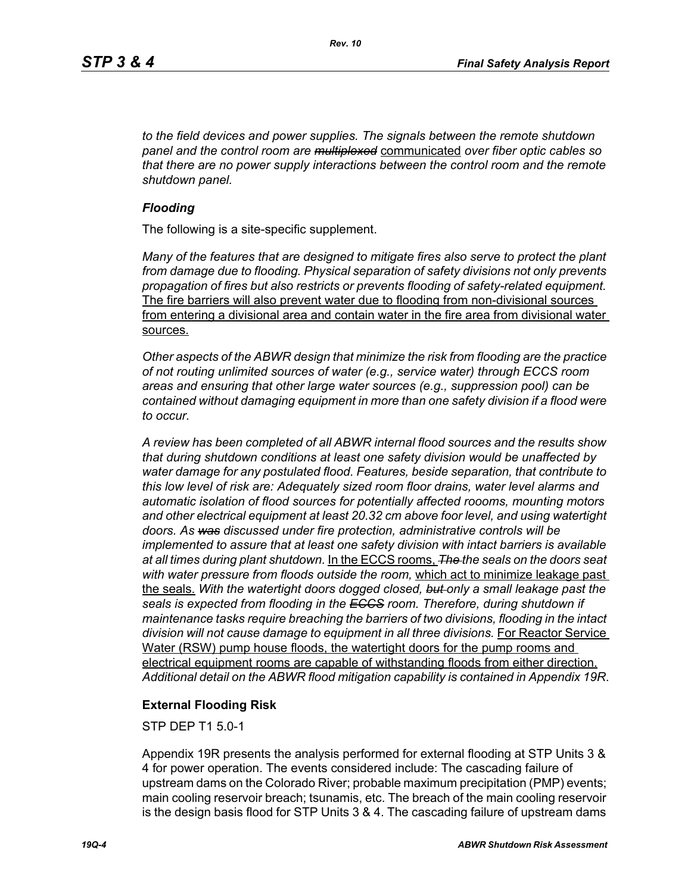*to the field devices and power supplies. The signals between the remote shutdown panel and the control room are multiplexed* communicated *over fiber optic cables so that there are no power supply interactions between the control room and the remote shutdown panel.*

#### *Flooding*

The following is a site-specific supplement.

*Many of the features that are designed to mitigate fires also serve to protect the plant from damage due to flooding. Physical separation of safety divisions not only prevents propagation of fires but also restricts or prevents flooding of safety-related equipment.*  The fire barriers will also prevent water due to flooding from non-divisional sources from entering a divisional area and contain water in the fire area from divisional water sources.

*Other aspects of the ABWR design that minimize the risk from flooding are the practice of not routing unlimited sources of water (e.g., service water) through ECCS room areas and ensuring that other large water sources (e.g., suppression pool) can be contained without damaging equipment in more than one safety division if a flood were to occur.*

*A review has been completed of all ABWR internal flood sources and the results show that during shutdown conditions at least one safety division would be unaffected by water damage for any postulated flood. Features, beside separation, that contribute to this low level of risk are: Adequately sized room floor drains, water level alarms and automatic isolation of flood sources for potentially affected roooms, mounting motors and other electrical equipment at least 20.32 cm above foor level, and using watertight doors. As was discussed under fire protection, administrative controls will be implemented to assure that at least one safety division with intact barriers is available at all times during plant shutdown.* In the ECCS rooms, *The the seals on the doors seat with water pressure from floods outside the room,* which act to minimize leakage past the seals. *With the watertight doors dogged closed, but only a small leakage past the seals is expected from flooding in the ECCS room. Therefore, during shutdown if maintenance tasks require breaching the barriers of two divisions, flooding in the intact*  division will not cause damage to equipment in all three divisions. For Reactor Service Water (RSW) pump house floods, the watertight doors for the pump rooms and electrical equipment rooms are capable of withstanding floods from either direction. *Additional detail on the ABWR flood mitigation capability is contained in Appendix 19R*.

## **External Flooding Risk**

STP DEP T1 5.0-1

Appendix 19R presents the analysis performed for external flooding at STP Units 3 & 4 for power operation. The events considered include: The cascading failure of upstream dams on the Colorado River; probable maximum precipitation (PMP) events; main cooling reservoir breach; tsunamis, etc. The breach of the main cooling reservoir is the design basis flood for STP Units 3 & 4. The cascading failure of upstream dams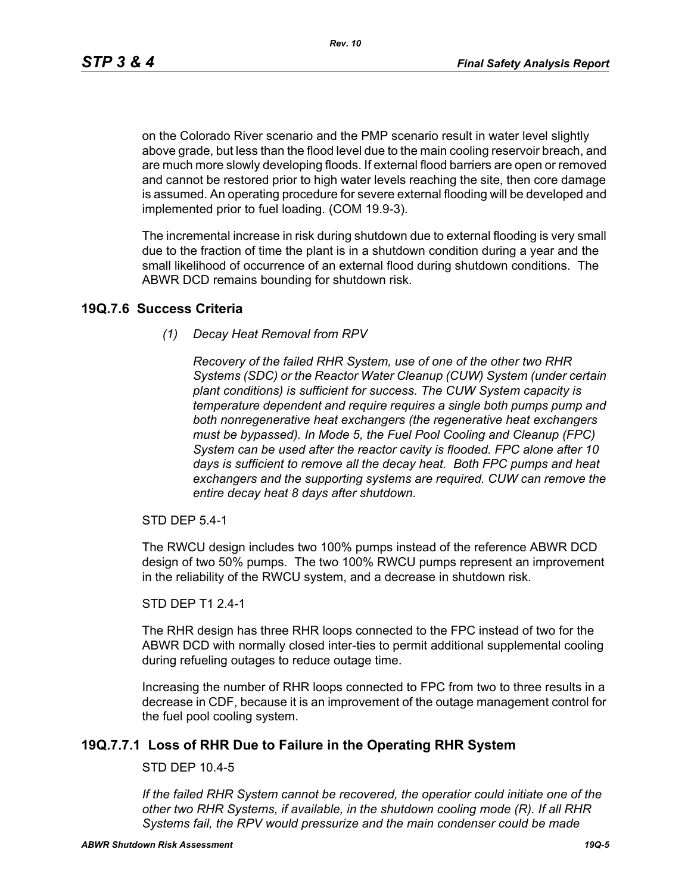*Rev. 10*

on the Colorado River scenario and the PMP scenario result in water level slightly above grade, but less than the flood level due to the main cooling reservoir breach, and are much more slowly developing floods. If external flood barriers are open or removed and cannot be restored prior to high water levels reaching the site, then core damage is assumed. An operating procedure for severe external flooding will be developed and implemented prior to fuel loading. (COM 19.9-3).

The incremental increase in risk during shutdown due to external flooding is very small due to the fraction of time the plant is in a shutdown condition during a year and the small likelihood of occurrence of an external flood during shutdown conditions. The ABWR DCD remains bounding for shutdown risk.

## **19Q.7.6 Success Criteria**

*(1) Decay Heat Removal from RPV*

*Recovery of the failed RHR System, use of one of the other two RHR Systems (SDC) or the Reactor Water Cleanup (CUW) System (under certain plant conditions) is sufficient for success. The CUW System capacity is temperature dependent and require requires a single both pumps pump and both nonregenerative heat exchangers (the regenerative heat exchangers must be bypassed). In Mode 5, the Fuel Pool Cooling and Cleanup (FPC) System can be used after the reactor cavity is flooded. FPC alone after 10 days is sufficient to remove all the decay heat. Both FPC pumps and heat exchangers and the supporting systems are required. CUW can remove the entire decay heat 8 days after shutdown.*

STD DEP 5.4-1

The RWCU design includes two 100% pumps instead of the reference ABWR DCD design of two 50% pumps. The two 100% RWCU pumps represent an improvement in the reliability of the RWCU system, and a decrease in shutdown risk.

#### STD DEP T1 2.4-1

The RHR design has three RHR loops connected to the FPC instead of two for the ABWR DCD with normally closed inter-ties to permit additional supplemental cooling during refueling outages to reduce outage time.

Increasing the number of RHR loops connected to FPC from two to three results in a decrease in CDF, because it is an improvement of the outage management control for the fuel pool cooling system.

# **19Q.7.7.1 Loss of RHR Due to Failure in the Operating RHR System**

## STD DEP 10.4-5

*If the failed RHR System cannot be recovered, the operatior could initiate one of the other two RHR Systems, if available, in the shutdown cooling mode (R). If all RHR Systems fail, the RPV would pressurize and the main condenser could be made*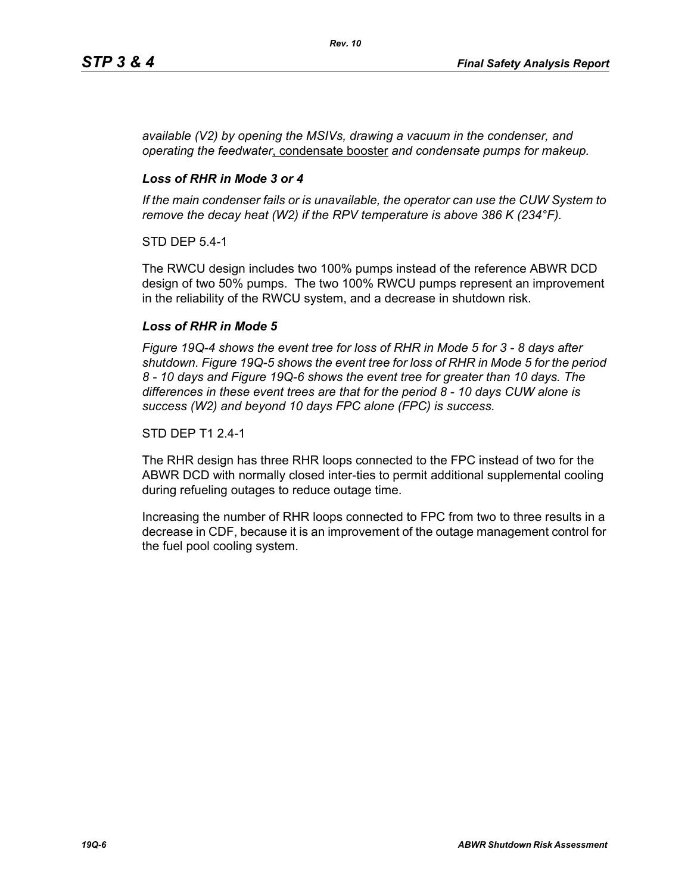*available (V2) by opening the MSIVs, drawing a vacuum in the condenser, and operating the feedwater*, condensate booster *and condensate pumps for makeup.*

## *Loss of RHR in Mode 3 or 4*

*If the main condenser fails or is unavailable, the operator can use the CUW System to remove the decay heat (W2) if the RPV temperature is above 386 K (234°F).*

STD DEP 5.4-1

The RWCU design includes two 100% pumps instead of the reference ABWR DCD design of two 50% pumps. The two 100% RWCU pumps represent an improvement in the reliability of the RWCU system, and a decrease in shutdown risk.

## *Loss of RHR in Mode 5*

*Figure 19Q-4 shows the event tree for loss of RHR in Mode 5 for 3 - 8 days after shutdown. Figure 19Q-5 shows the event tree for loss of RHR in Mode 5 for the period 8 - 10 days and Figure 19Q-6 shows the event tree for greater than 10 days. The differences in these event trees are that for the period 8 - 10 days CUW alone is success (W2) and beyond 10 days FPC alone (FPC) is success.*

#### STD DEP T1 2.4-1

The RHR design has three RHR loops connected to the FPC instead of two for the ABWR DCD with normally closed inter-ties to permit additional supplemental cooling during refueling outages to reduce outage time.

Increasing the number of RHR loops connected to FPC from two to three results in a decrease in CDF, because it is an improvement of the outage management control for the fuel pool cooling system.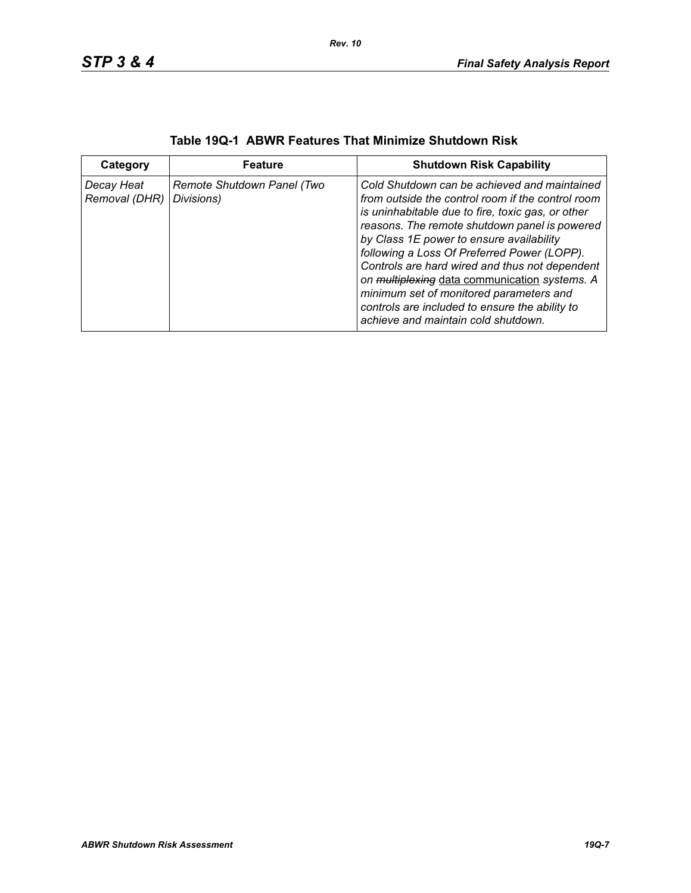| Category                    | <b>Feature</b>                           | <b>Shutdown Risk Capability</b>                                                                                                                                                                                                                                                                                                                                                                                                                                                                                                           |
|-----------------------------|------------------------------------------|-------------------------------------------------------------------------------------------------------------------------------------------------------------------------------------------------------------------------------------------------------------------------------------------------------------------------------------------------------------------------------------------------------------------------------------------------------------------------------------------------------------------------------------------|
| Decay Heat<br>Removal (DHR) | Remote Shutdown Panel (Two<br>Divisions) | Cold Shutdown can be achieved and maintained<br>from outside the control room if the control room<br>is uninhabitable due to fire, toxic gas, or other<br>reasons. The remote shutdown panel is powered<br>by Class 1E power to ensure availability<br>following a Loss Of Preferred Power (LOPP).<br>Controls are hard wired and thus not dependent<br>on multiplexing data communication systems. A<br>minimum set of monitored parameters and<br>controls are included to ensure the ability to<br>achieve and maintain cold shutdown. |

| Table 19Q-1 ABWR Features That Minimize Shutdown Risk |  |
|-------------------------------------------------------|--|
|-------------------------------------------------------|--|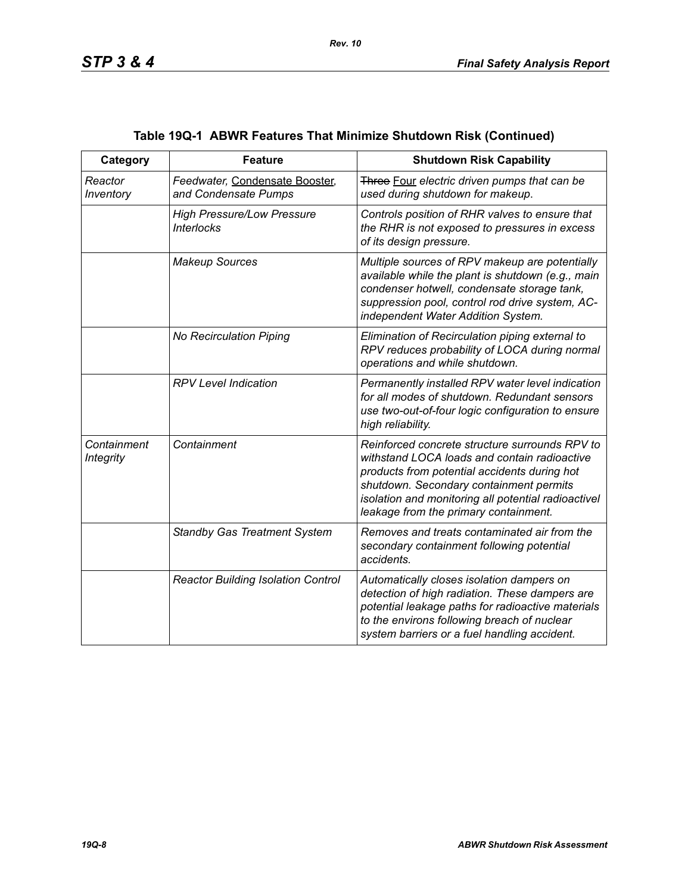| Category                        | <b>Feature</b>                                         | <b>Shutdown Risk Capability</b>                                                                                                                                                                                                                                                           |
|---------------------------------|--------------------------------------------------------|-------------------------------------------------------------------------------------------------------------------------------------------------------------------------------------------------------------------------------------------------------------------------------------------|
| Reactor<br>Inventory            | Feedwater, Condensate Booster,<br>and Condensate Pumps | Three Four electric driven pumps that can be<br>used during shutdown for makeup.                                                                                                                                                                                                          |
|                                 | <b>High Pressure/Low Pressure</b><br><b>Interlocks</b> | Controls position of RHR valves to ensure that<br>the RHR is not exposed to pressures in excess<br>of its design pressure.                                                                                                                                                                |
|                                 | <b>Makeup Sources</b>                                  | Multiple sources of RPV makeup are potentially<br>available while the plant is shutdown (e.g., main<br>condenser hotwell, condensate storage tank,<br>suppression pool, control rod drive system, AC-<br>independent Water Addition System.                                               |
|                                 | No Recirculation Piping                                | Elimination of Recirculation piping external to<br>RPV reduces probability of LOCA during normal<br>operations and while shutdown.                                                                                                                                                        |
|                                 | <b>RPV Level Indication</b>                            | Permanently installed RPV water level indication<br>for all modes of shutdown. Redundant sensors<br>use two-out-of-four logic configuration to ensure<br>high reliability.                                                                                                                |
| Containment<br><b>Integrity</b> | Containment                                            | Reinforced concrete structure surrounds RPV to<br>withstand LOCA loads and contain radioactive<br>products from potential accidents during hot<br>shutdown. Secondary containment permits<br>isolation and monitoring all potential radioactivel<br>leakage from the primary containment. |
|                                 | <b>Standby Gas Treatment System</b>                    | Removes and treats contaminated air from the<br>secondary containment following potential<br>accidents.                                                                                                                                                                                   |
|                                 | <b>Reactor Building Isolation Control</b>              | Automatically closes isolation dampers on<br>detection of high radiation. These dampers are<br>potential leakage paths for radioactive materials<br>to the environs following breach of nuclear<br>system barriers or a fuel handling accident.                                           |

# **Table 19Q-1 ABWR Features That Minimize Shutdown Risk (Continued)**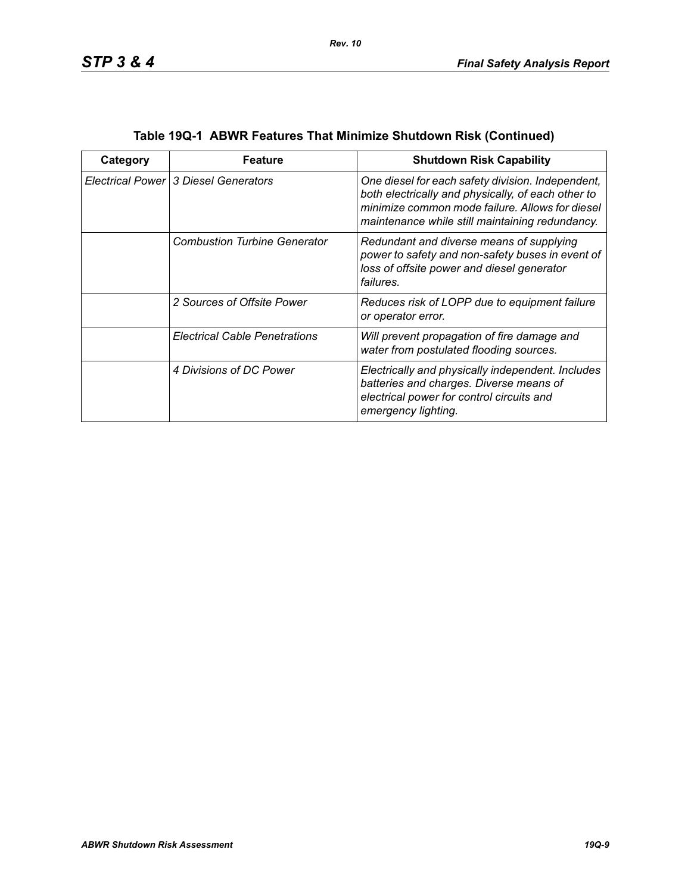| Category | Feature                                | <b>Shutdown Risk Capability</b>                                                                                                                                                                               |
|----------|----------------------------------------|---------------------------------------------------------------------------------------------------------------------------------------------------------------------------------------------------------------|
|          | Electrical Power   3 Diesel Generators | One diesel for each safety division. Independent,<br>both electrically and physically, of each other to<br>minimize common mode failure. Allows for diesel<br>maintenance while still maintaining redundancy. |
|          | <b>Combustion Turbine Generator</b>    | Redundant and diverse means of supplying<br>power to safety and non-safety buses in event of<br>loss of offsite power and diesel generator<br>failures.                                                       |
|          | 2 Sources of Offsite Power             | Reduces risk of LOPP due to equipment failure<br>or operator error.                                                                                                                                           |
|          | <b>Electrical Cable Penetrations</b>   | Will prevent propagation of fire damage and<br>water from postulated flooding sources.                                                                                                                        |
|          | 4 Divisions of DC Power                | Electrically and physically independent. Includes<br>batteries and charges. Diverse means of<br>electrical power for control circuits and<br>emergency lighting.                                              |

| Table 19Q-1  ABWR Features That Minimize Shutdown Risk (Continued) |  |  |
|--------------------------------------------------------------------|--|--|
|                                                                    |  |  |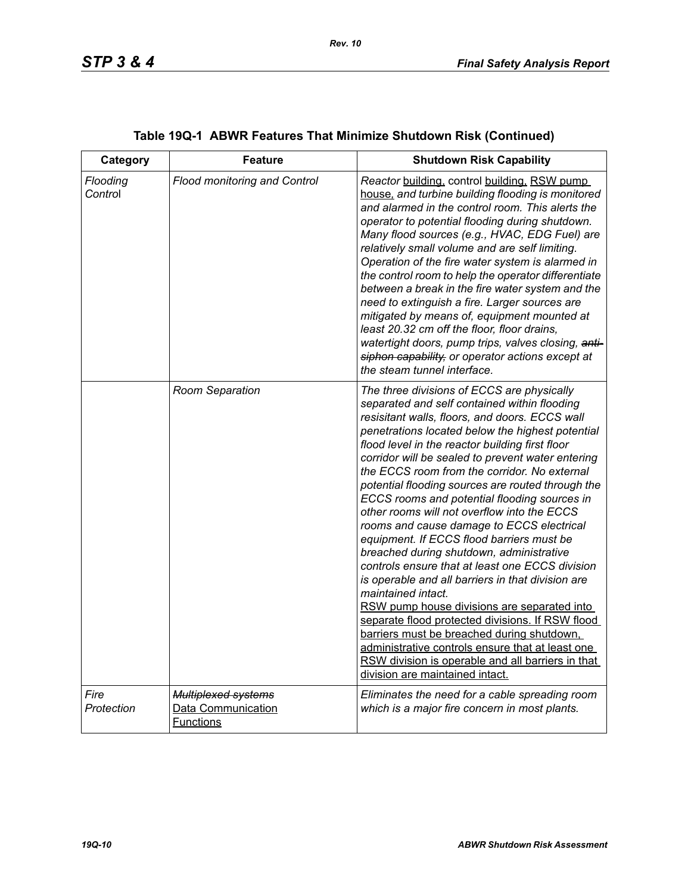| Category            | <b>Feature</b>                                                       | <b>Shutdown Risk Capability</b>                                                                                                                                                                                                                                                                                                                                                                                                                                                                                                                                                                                                                                                                                                                                                                                                                                                                                                                                                                                                                                               |
|---------------------|----------------------------------------------------------------------|-------------------------------------------------------------------------------------------------------------------------------------------------------------------------------------------------------------------------------------------------------------------------------------------------------------------------------------------------------------------------------------------------------------------------------------------------------------------------------------------------------------------------------------------------------------------------------------------------------------------------------------------------------------------------------------------------------------------------------------------------------------------------------------------------------------------------------------------------------------------------------------------------------------------------------------------------------------------------------------------------------------------------------------------------------------------------------|
| Flooding<br>Control | Flood monitoring and Control                                         | Reactor building, control building, RSW pump<br>house, and turbine building flooding is monitored<br>and alarmed in the control room. This alerts the<br>operator to potential flooding during shutdown.<br>Many flood sources (e.g., HVAC, EDG Fuel) are<br>relatively small volume and are self limiting.<br>Operation of the fire water system is alarmed in<br>the control room to help the operator differentiate<br>between a break in the fire water system and the<br>need to extinguish a fire. Larger sources are<br>mitigated by means of, equipment mounted at<br>least 20.32 cm off the floor, floor drains,<br>watertight doors, pump trips, valves closing, anti-<br>siphon capability, or operator actions except at<br>the steam tunnel interface.                                                                                                                                                                                                                                                                                                           |
|                     | Room Separation                                                      | The three divisions of ECCS are physically<br>separated and self contained within flooding<br>resisitant walls, floors, and doors. ECCS wall<br>penetrations located below the highest potential<br>flood level in the reactor building first floor<br>corridor will be sealed to prevent water entering<br>the ECCS room from the corridor. No external<br>potential flooding sources are routed through the<br>ECCS rooms and potential flooding sources in<br>other rooms will not overflow into the ECCS<br>rooms and cause damage to ECCS electrical<br>equipment. If ECCS flood barriers must be<br>breached during shutdown, administrative<br>controls ensure that at least one ECCS division<br>is operable and all barriers in that division are<br>maintained intact.<br>RSW pump house divisions are separated into<br>separate flood protected divisions. If RSW flood<br>barriers must be breached during shutdown,<br>administrative controls ensure that at least one<br>RSW division is operable and all barriers in that<br>division are maintained intact. |
| Fire<br>Protection  | <b>Multiplexed systems</b><br>Data Communication<br><b>Functions</b> | Eliminates the need for a cable spreading room<br>which is a major fire concern in most plants.                                                                                                                                                                                                                                                                                                                                                                                                                                                                                                                                                                                                                                                                                                                                                                                                                                                                                                                                                                               |

# **Table 19Q-1 ABWR Features That Minimize Shutdown Risk (Continued)**

*Rev. 10*